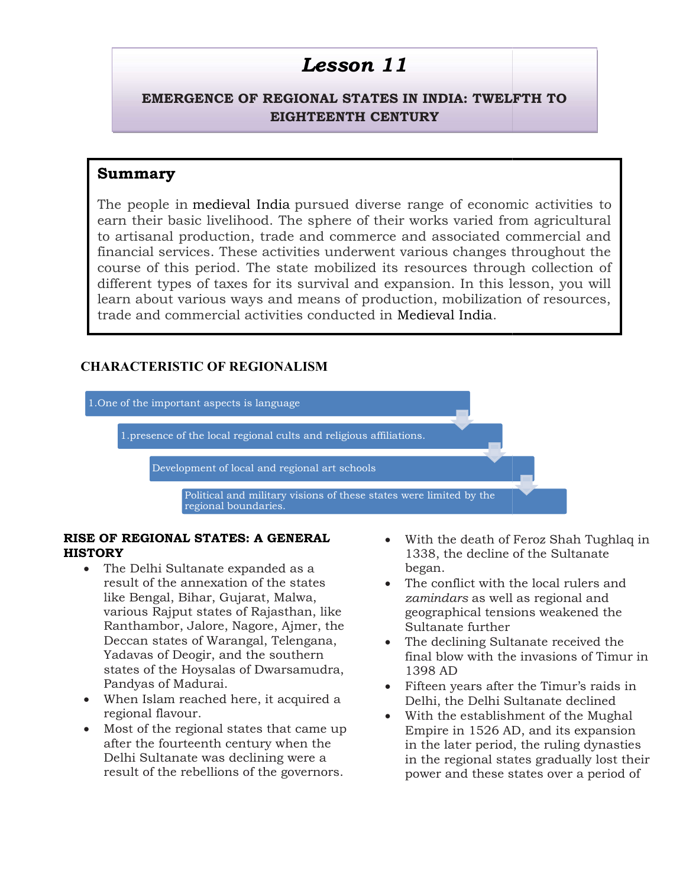# EMERGENCE OF REGIONAL STATES IN INDIA: TWELFTH TO EMERGENCE OF REGIONAL STATES IN EIGHTEENTH CENTURY

# Summary

The people in medieval India pursued diverse range of economic earn their basic livelihood. The sphere of their works varied from agricultural<br>to artisanal production, trade and commerce and associated commercial and to artisanal production, trade and commerce and associated commercial and financial services. These activities underwent various changes throughout the course of this period. The state mobilized its resources through collection of different types of taxes for its survival and expansion. In this lesson, you will learn about various ways and means of production, mobilization of resources, trade and commercial activities conducted in Medieval India. **LESSON 11**<br>
CE OF REGIONAL STATES IN<br>
EIGHTEENTH CENTU<br>
lieval India pursued diverse ration<br>
relihood. The sphere of their welcom, trade and commerce an<br>
These activities underwent vaiod. The state mobilized its re<br>
axes e of this period. The state mobilized its resources through collection of<br>ent types of taxes for its survival and expansion. In this lesson, you will<br>about various ways and means of production, mobilization of resources,

# CHARACTERISTIC OF REGIONALISM REGIONALISM



#### RISE OF REGIONAL STATES: A GENERAL OF **HISTORY**

- The Delhi Sultanate expanded as a result of the annexation of the states like Bengal, Bihar, Gujarat, Malwa, various Rajput states of Rajasthan, like Ranthambor, Jalore, Nagore, Ajmer, the Deccan states of Warangal, Telengana, Yadavas of Deogir, and the so states of the Hoysalas of Dwarsamudra, Pandyas of Madurai. result of the annexation of the states<br>like Bengal, Bihar, Gujarat, Malwa,<br>various Rajput states of Rajasthan, like<br>Ranthambor, Jalore, Nagore, Ajmer, the<br>Deccan states of Warangal, Telengana,<br>Yadavas of Deogir, and the so **EXERCIST STATES: A GENERAL**<br>
belhi Sultanate expanded as a<br>
in 338, the decline of the Sultanate<br>
in the annexation of the states<br>
or the annexation of the states<br>
or the conflict with the local rulers and<br>
anabor, Jalor
- When Islam reached here, it acquired a regional flavour.
- Most of the regional states that came up after the fourteenth century when the Delhi Sultanate was declining were a result of the rebellions of the governors.
- 1338, the decline of the Sultanate began.  $\bullet$  With the death of Feroz Shah Tughlaq in
- The conflict with the local rulers and zamindars as well as regional and geographical tensions weakened the Sultanate further
- The declining Sultanate received the final blow with the invasions of Timur in 1398 AD
- Fifteen years after the Timur's raids in Delhi, the Delhi Sultanate declined
- With the establishment of the Mughal Empire in 1526 AD, and its expansion in the later period, the ruling dynasties in the regional states gradually lost their power and these states over a period of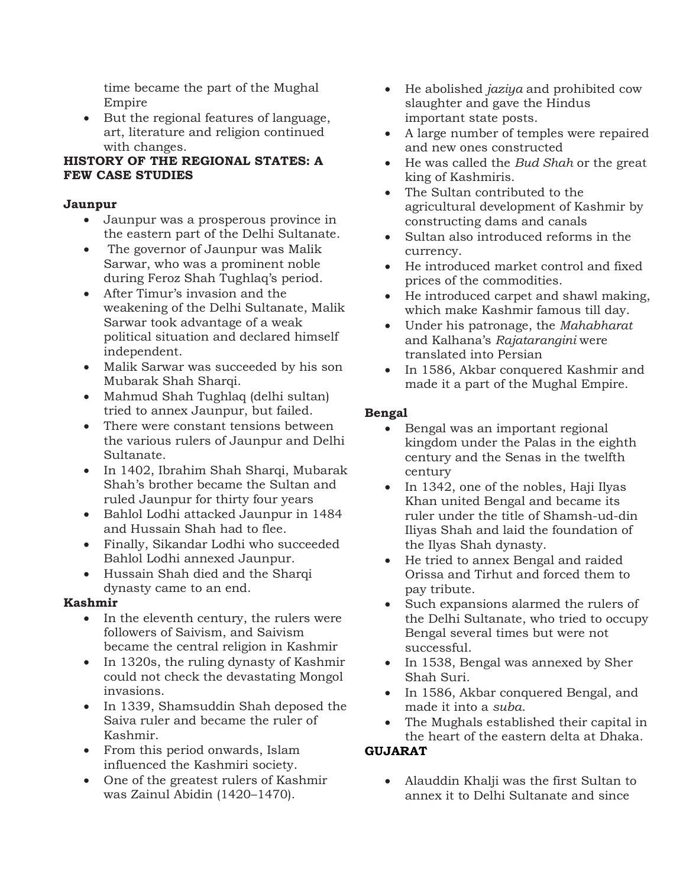time became the part of the Mughal Empire

 But the regional features of language, art, literature and religion continued with changes.

#### HISTORY OF THE REGIONAL STATES: A FEW CASE STUDIES

#### Jaunpur

- Jaunpur was a prosperous province in the eastern part of the Delhi Sultanate.
- The governor of Jaunpur was Malik Sarwar, who was a prominent noble during Feroz Shah Tughlaq's period.
- After Timur's invasion and the weakening of the Delhi Sultanate, Malik Sarwar took advantage of a weak political situation and declared himself independent.
- Malik Sarwar was succeeded by his son Mubarak Shah Sharqi.
- Mahmud Shah Tughlaq (delhi sultan) tried to annex Jaunpur, but failed.
- There were constant tensions between the various rulers of Jaunpur and Delhi Sultanate.
- In 1402, Ibrahim Shah Sharqi, Mubarak Shah's brother became the Sultan and ruled Jaunpur for thirty four years
- Bahlol Lodhi attacked Jaunpur in 1484 and Hussain Shah had to flee.
- Finally, Sikandar Lodhi who succeeded Bahlol Lodhi annexed Jaunpur.
- Hussain Shah died and the Sharqi dynasty came to an end.

#### Kashmir

- In the eleventh century, the rulers were followers of Saivism, and Saivism became the central religion in Kashmir
- In 1320s, the ruling dynasty of Kashmir could not check the devastating Mongol invasions.
- In 1339, Shamsuddin Shah deposed the Saiva ruler and became the ruler of Kashmir.
- From this period onwards, Islam influenced the Kashmiri society.
- One of the greatest rulers of Kashmir was Zainul Abidin (1420–1470).
- He abolished *jaziya* and prohibited cow slaughter and gave the Hindus important state posts.
- A large number of temples were repaired and new ones constructed
- He was called the Bud Shah or the great king of Kashmiris.
- The Sultan contributed to the agricultural development of Kashmir by constructing dams and canals
- Sultan also introduced reforms in the currency.
- He introduced market control and fixed prices of the commodities.
- He introduced carpet and shawl making, which make Kashmir famous till day.
- Under his patronage, the Mahabharat and Kalhana's Rajatarangini were translated into Persian
- In 1586, Akbar conquered Kashmir and made it a part of the Mughal Empire.

## Bengal

- Bengal was an important regional kingdom under the Palas in the eighth century and the Senas in the twelfth century
- In 1342, one of the nobles, Haji Ilyas Khan united Bengal and became its ruler under the title of Shamsh-ud-din Iliyas Shah and laid the foundation of the Ilyas Shah dynasty.
- He tried to annex Bengal and raided Orissa and Tirhut and forced them to pay tribute.
- Such expansions alarmed the rulers of the Delhi Sultanate, who tried to occupy Bengal several times but were not successful.
- In 1538, Bengal was annexed by Sher Shah Suri.
- In 1586, Akbar conquered Bengal, and made it into a suba.
- The Mughals established their capital in the heart of the eastern delta at Dhaka. GUJARAT

## Alauddin Khalji was the first Sultan to annex it to Delhi Sultanate and since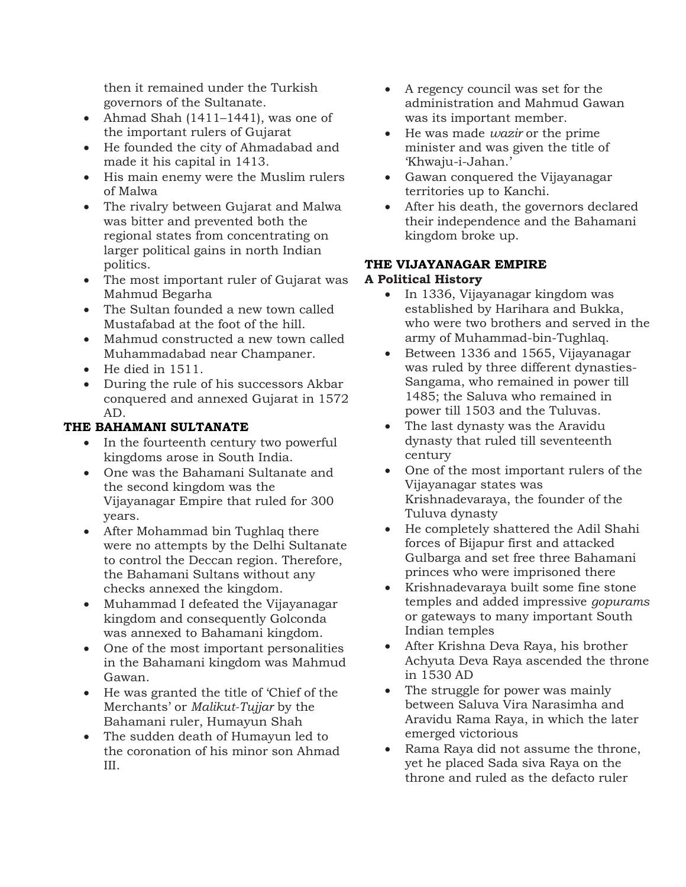then it remained under the Turkish governors of the Sultanate.

- Ahmad Shah (1411–1441), was one of the important rulers of Gujarat
- He founded the city of Ahmadabad and made it his capital in 1413.
- His main enemy were the Muslim rulers of Malwa
- The rivalry between Gujarat and Malwa was bitter and prevented both the regional states from concentrating on larger political gains in north Indian politics.
- The most important ruler of Gujarat was Mahmud Begarha
- The Sultan founded a new town called Mustafabad at the foot of the hill.
- Mahmud constructed a new town called Muhammadabad near Champaner.
- He died in 1511.
- During the rule of his successors Akbar conquered and annexed Gujarat in 1572 AD.

## THE BAHAMANI SULTANATE

- In the fourteenth century two powerful kingdoms arose in South India.
- One was the Bahamani Sultanate and the second kingdom was the Vijayanagar Empire that ruled for 300 years.
- After Mohammad bin Tughlaq there were no attempts by the Delhi Sultanate to control the Deccan region. Therefore, the Bahamani Sultans without any checks annexed the kingdom.
- Muhammad I defeated the Vijayanagar kingdom and consequently Golconda was annexed to Bahamani kingdom.
- One of the most important personalities in the Bahamani kingdom was Mahmud Gawan.
- He was granted the title of 'Chief of the Merchants' or Malikut-Tujjar by the Bahamani ruler, Humayun Shah
- The sudden death of Humayun led to the coronation of his minor son Ahmad III.
- A regency council was set for the administration and Mahmud Gawan was its important member.
- $\bullet$  He was made *wazir* or the prime minister and was given the title of 'Khwaju-i-Jahan.'
- Gawan conquered the Vijayanagar territories up to Kanchi.
- After his death, the governors declared their independence and the Bahamani kingdom broke up.

#### THE VIJAYANAGAR EMPIRE A Political History

- In 1336, Vijayanagar kingdom was established by Harihara and Bukka, who were two brothers and served in the army of Muhammad-bin-Tughlaq.
- Between 1336 and 1565, Vijayanagar was ruled by three different dynasties-Sangama, who remained in power till 1485; the Saluva who remained in power till 1503 and the Tuluvas.
- The last dynasty was the Aravidu dynasty that ruled till seventeenth century
- One of the most important rulers of the Vijayanagar states was Krishnadevaraya, the founder of the Tuluva dynasty
- He completely shattered the Adil Shahi forces of Bijapur first and attacked Gulbarga and set free three Bahamani princes who were imprisoned there
- Krishnadevaraya built some fine stone temples and added impressive gopurams or gateways to many important South Indian temples
- After Krishna Deva Raya, his brother Achyuta Deva Raya ascended the throne in 1530 AD
- The struggle for power was mainly between Saluva Vira Narasimha and Aravidu Rama Raya, in which the later emerged victorious
- Rama Raya did not assume the throne, yet he placed Sada siva Raya on the throne and ruled as the defacto ruler